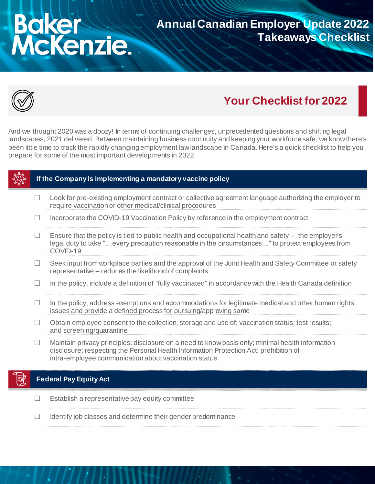# **Baker<br>McKenzie.**

## **Annual Canadian Employer Update 2022 Takeaways Checklist**



# **Your Checklist for 2022**

And we thought 2020 was a doozy! In terms of continuing challenges, unprecedented questions and shifting legal landscapes, 2021 delivered. Between maintaining business continuity and keeping your workforce safe, we know there's been little time to track the rapidly changing employment law landscape in Canada. Here's a quick checklist to help you prepare for some of the most important developments in 2022.

|  | If the Company is implementing a mandatory vaccine policy                                                                                                                                                                                          |
|--|----------------------------------------------------------------------------------------------------------------------------------------------------------------------------------------------------------------------------------------------------|
|  | Look for pre-existing employment contract or collective agreement language authorizing the employer to<br>require vaccination or other medical/clinical procedures                                                                                 |
|  | Incorporate the COVID-19 Vaccination Policy by reference in the employment contract                                                                                                                                                                |
|  | Ensure that the policy is tied to public health and occupational health and safety – the employer's<br>legal duty to take "every precaution reasonable in the circumstances" to protect employees from<br>COVID-19                                 |
|  | Seek input from workplace parties and the approval of the Joint Health and Safety Committee or safety<br>representative - reduces the likelihood of complaints                                                                                     |
|  | In the policy, include a definition of "fully vaccinated" in accordance with the Health Canada definition                                                                                                                                          |
|  | In the policy, address exemptions and accommodations for legitimate medical and other human rights<br>issues and provide a defined process for pursuing/approving same                                                                             |
|  | Obtain employee consent to the collection, storage and use of: vaccination status; test results;<br>and screening/quarantine                                                                                                                       |
|  | Maintain privacy principles: disclosure on a need to know basis only; minimal health information<br>disclosure; respecting the Personal Health Information Protection Act; prohibition of<br>intra-employee communication about vaccination status |
|  | <b>Federal Pay Equity Act</b>                                                                                                                                                                                                                      |

- $\Box$  Establish a representative pay equity committee
- $\Box$  Identify job classes and determine their gender predominance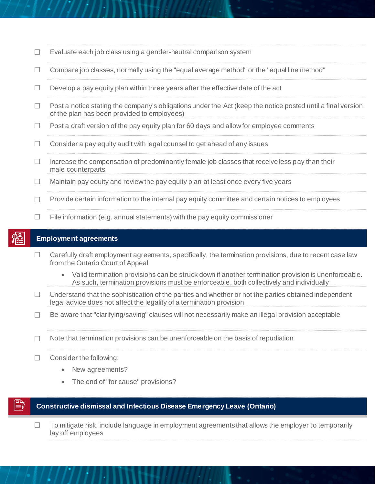- $\Box$  Evaluate each job class using a gender-neutral comparison system
- ☐ Compare job classes, normally using the "equal average method" or the "equal line method"
- $\Box$  Develop a pay equity plan within three years after the effective date of the act
- $\Box$  Post a notice stating the company's obligations under the Act (keep the notice posted until a final version of the plan has been provided to employees)
- $\Box$  Post a draft version of the pay equity plan for 60 days and allow for employee comments
- $\Box$  Consider a pay equity audit with legal counsel to get ahead of any issues
- $\Box$  Increase the compensation of predominantly female job classes that receive less pay than their male counterparts
- $\Box$  Maintain pay equity and review the pay equity plan at least once every five years
- □ Provide certain information to the internal pay equity committee and certain notices to employees
- $\Box$  File information (e.g. annual statements) with the pay equity commissioner

#### **Employment agreements**

- □ Carefully draft employment agreements, specifically, the termination provisions, due to recent case law from the Ontario Court of Appeal
	- Valid termination provisions can be struck down if another termination provision is unenforceable. As such, termination provisions must be enforceable, both collectively and individually
- $\Box$  Understand that the sophistication of the parties and whether or not the parties obtained independent legal advice does not affect the legality of a termination provision
- $\Box$  Be aware that "clarifying/saving" clauses will not necessarily make an illegal provision acceptable
- $\Box$  Note that termination provisions can be unenforceable on the basis of repudiation
- ☐ Consider the following:
	- New agreements?
	- The end of "for cause" provisions?

#### **Constructive dismissal and Infectious Disease Emergency Leave (Ontario)**

 $\Box$  To mitigate risk, include language in employment agreements that allows the employer to temporarily lay off employees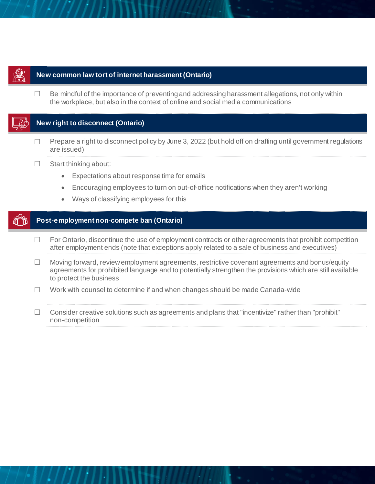

#### **New common law tort of internet harassment (Ontario)**

 $\Box$  Be mindful of the importance of preventing and addressing harassment allegations, not only within the workplace, but also in the context of online and social media communications

#### **New right to disconnect (Ontario)**

- $\Box$  Prepare a right to disconnect policy by June 3, 2022 (but hold off on drafting until government regulations are issued)
- $\Box$  Start thinking about:
	- Expectations about response time for emails
	- Encouraging employees to turn on out-of-office notifications when they aren't working
	- Ways of classifying employees for this

#### **Post-employment non-compete ban (Ontario)**

- $\Box$  For Ontario, discontinue the use of employment contracts or other agreements that prohibit competition after employment ends (note that exceptions apply related to a sale of business and executives)
- $\Box$  Moving forward, review employment agreements, restrictive covenant agreements and bonus/equity agreements for prohibited language and to potentially strengthen the provisions which are still available to protect the business
- ☐ Work with counsel to determine if and when changes should be made Canada-wide
- $\Box$  Consider creative solutions such as agreements and plans that "incentivize" rather than "prohibit" non-competition